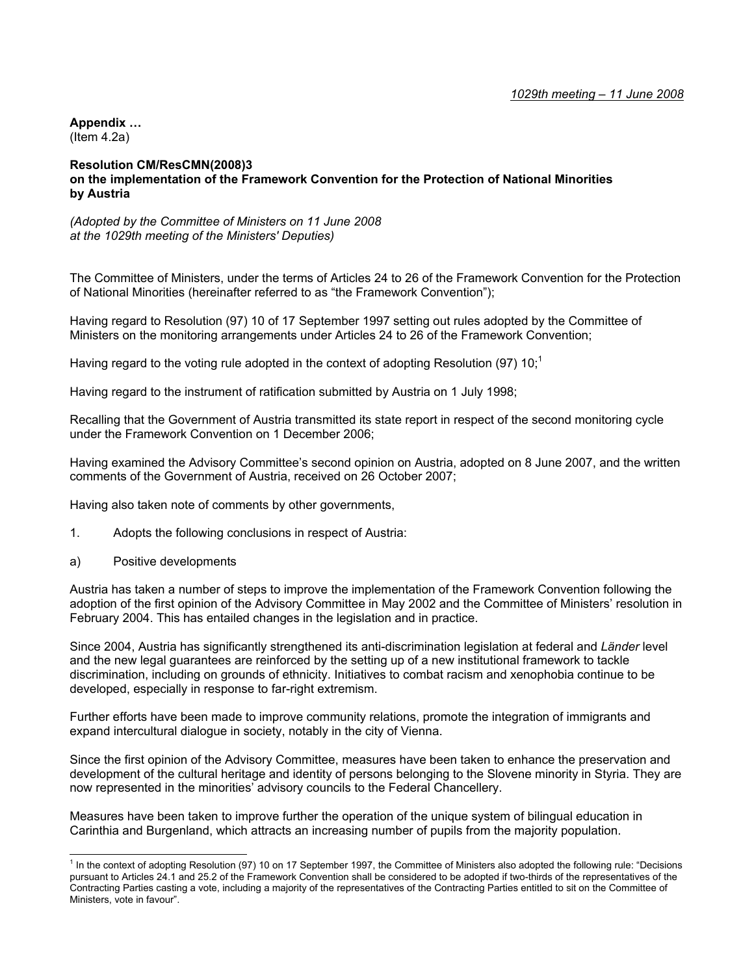**Appendix …**  (Item 4.2a)

## **Resolution CM/ResCMN(2008)3 on the implementation of the Framework Convention for the Protection of National Minorities by Austria**

*(Adopted by the Committee of Ministers on 11 June 2008 at the 1029th meeting of the Ministers' Deputies)* 

The Committee of Ministers, under the terms of Articles 24 to 26 of the Framework Convention for the Protection of National Minorities (hereinafter referred to as "the Framework Convention");

Having regard to Resolution (97) 10 of 17 September 1997 setting out rules adopted by the Committee of Ministers on the monitoring arrangements under Articles 24 to 26 of the Framework Convention;

Having regard to the voting rule adopted in the context of adopting Resolution (97) 10;<sup>1</sup>

Having regard to the instrument of ratification submitted by Austria on 1 July 1998;

Recalling that the Government of Austria transmitted its state report in respect of the second monitoring cycle under the Framework Convention on 1 December 2006;

Having examined the Advisory Committee's second opinion on Austria, adopted on 8 June 2007, and the written comments of the Government of Austria, received on 26 October 2007;

Having also taken note of comments by other governments,

- 1. Adopts the following conclusions in respect of Austria:
- a) Positive developments

l

Austria has taken a number of steps to improve the implementation of the Framework Convention following the adoption of the first opinion of the Advisory Committee in May 2002 and the Committee of Ministers' resolution in February 2004. This has entailed changes in the legislation and in practice.

Since 2004, Austria has significantly strengthened its anti-discrimination legislation at federal and *Länder* level and the new legal guarantees are reinforced by the setting up of a new institutional framework to tackle discrimination, including on grounds of ethnicity. Initiatives to combat racism and xenophobia continue to be developed, especially in response to far-right extremism.

Further efforts have been made to improve community relations, promote the integration of immigrants and expand intercultural dialogue in society, notably in the city of Vienna.

Since the first opinion of the Advisory Committee, measures have been taken to enhance the preservation and development of the cultural heritage and identity of persons belonging to the Slovene minority in Styria. They are now represented in the minorities' advisory councils to the Federal Chancellery.

Measures have been taken to improve further the operation of the unique system of bilingual education in Carinthia and Burgenland, which attracts an increasing number of pupils from the majority population.

<sup>&</sup>lt;sup>1</sup> In the context of adopting Resolution (97) 10 on 17 September 1997, the Committee of Ministers also adopted the following rule: "Decisions pursuant to Articles 24.1 and 25.2 of the Framework Convention shall be considered to be adopted if two-thirds of the representatives of the Contracting Parties casting a vote, including a majority of the representatives of the Contracting Parties entitled to sit on the Committee of Ministers, vote in favour".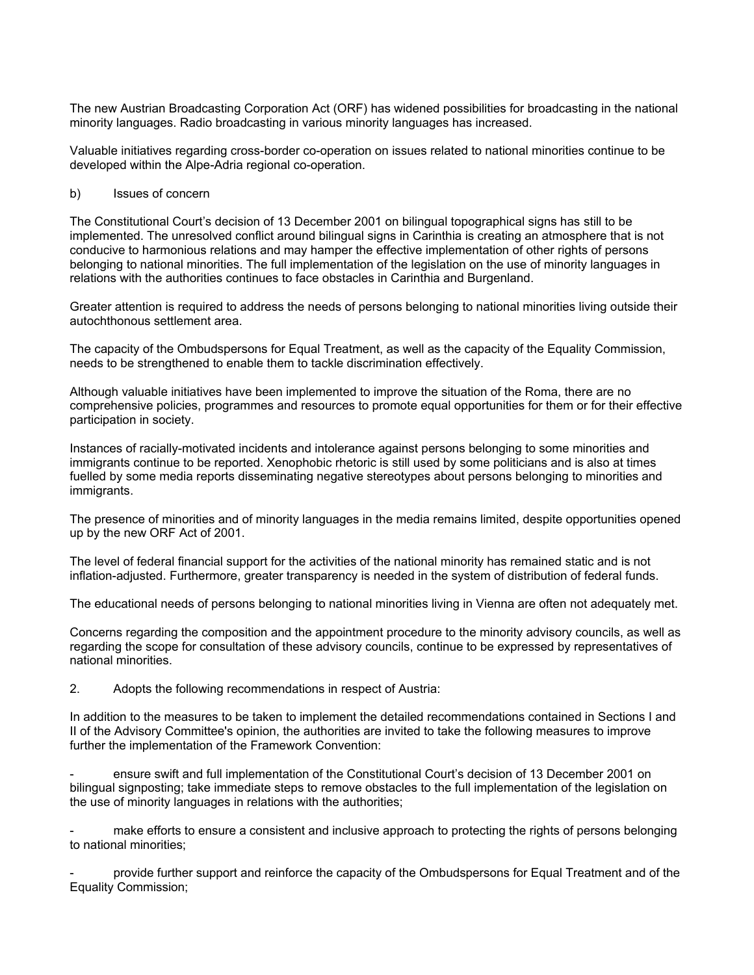The new Austrian Broadcasting Corporation Act (ORF) has widened possibilities for broadcasting in the national minority languages. Radio broadcasting in various minority languages has increased.

Valuable initiatives regarding cross-border co-operation on issues related to national minorities continue to be developed within the Alpe-Adria regional co-operation.

## b) Issues of concern

The Constitutional Court's decision of 13 December 2001 on bilingual topographical signs has still to be implemented. The unresolved conflict around bilingual signs in Carinthia is creating an atmosphere that is not conducive to harmonious relations and may hamper the effective implementation of other rights of persons belonging to national minorities. The full implementation of the legislation on the use of minority languages in relations with the authorities continues to face obstacles in Carinthia and Burgenland.

Greater attention is required to address the needs of persons belonging to national minorities living outside their autochthonous settlement area.

The capacity of the Ombudspersons for Equal Treatment, as well as the capacity of the Equality Commission, needs to be strengthened to enable them to tackle discrimination effectively.

Although valuable initiatives have been implemented to improve the situation of the Roma, there are no comprehensive policies, programmes and resources to promote equal opportunities for them or for their effective participation in society.

Instances of racially-motivated incidents and intolerance against persons belonging to some minorities and immigrants continue to be reported. Xenophobic rhetoric is still used by some politicians and is also at times fuelled by some media reports disseminating negative stereotypes about persons belonging to minorities and immigrants.

The presence of minorities and of minority languages in the media remains limited, despite opportunities opened up by the new ORF Act of 2001.

The level of federal financial support for the activities of the national minority has remained static and is not inflation-adjusted. Furthermore, greater transparency is needed in the system of distribution of federal funds.

The educational needs of persons belonging to national minorities living in Vienna are often not adequately met.

Concerns regarding the composition and the appointment procedure to the minority advisory councils, as well as regarding the scope for consultation of these advisory councils, continue to be expressed by representatives of national minorities.

2. Adopts the following recommendations in respect of Austria:

In addition to the measures to be taken to implement the detailed recommendations contained in Sections I and II of the Advisory Committee's opinion, the authorities are invited to take the following measures to improve further the implementation of the Framework Convention:

ensure swift and full implementation of the Constitutional Court's decision of 13 December 2001 on bilingual signposting; take immediate steps to remove obstacles to the full implementation of the legislation on the use of minority languages in relations with the authorities;

make efforts to ensure a consistent and inclusive approach to protecting the rights of persons belonging to national minorities;

- provide further support and reinforce the capacity of the Ombudspersons for Equal Treatment and of the Equality Commission;